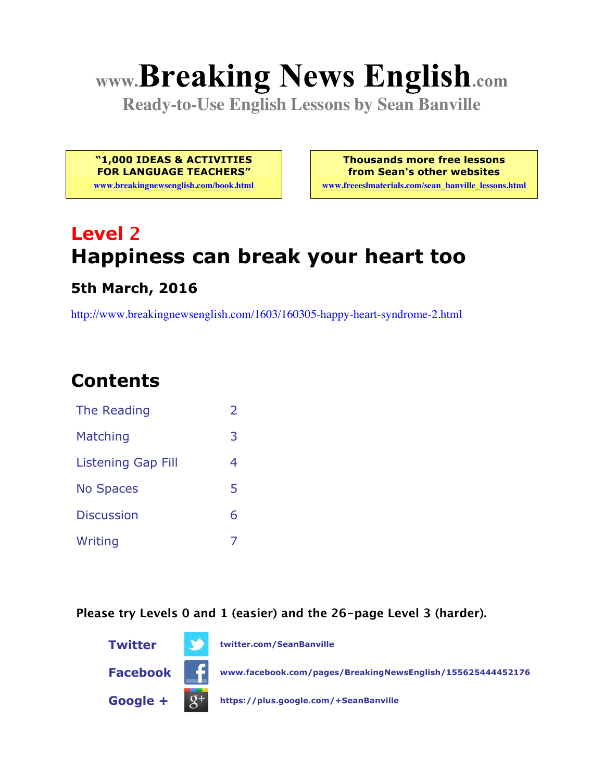# **www.Breaking News English.com**

**Ready-to-Use English Lessons by Sean Banville**

**"1,000 IDEAS & ACTIVITIES FOR LANGUAGE TEACHERS"**

**www.breakingnewsenglish.com/book.html**

**Thousands more free lessons from Sean's other websites**

**www.freeeslmaterials.com/sean\_banville\_lessons.html**

# **Level 2 Happiness can break your heart too**

#### **5th March, 2016**

http://www.breakingnewsenglish.com/1603/160305-happy-heart-syndrome-2.html

# **Contents**

| The Reading               |   |
|---------------------------|---|
| Matching                  | 3 |
| <b>Listening Gap Fill</b> | 4 |
| <b>No Spaces</b>          | 5 |
| <b>Discussion</b>         | 6 |
| Writing                   |   |

**Please try Levels 0 and 1 (easier) and the 26-page Level 3 (harder).**

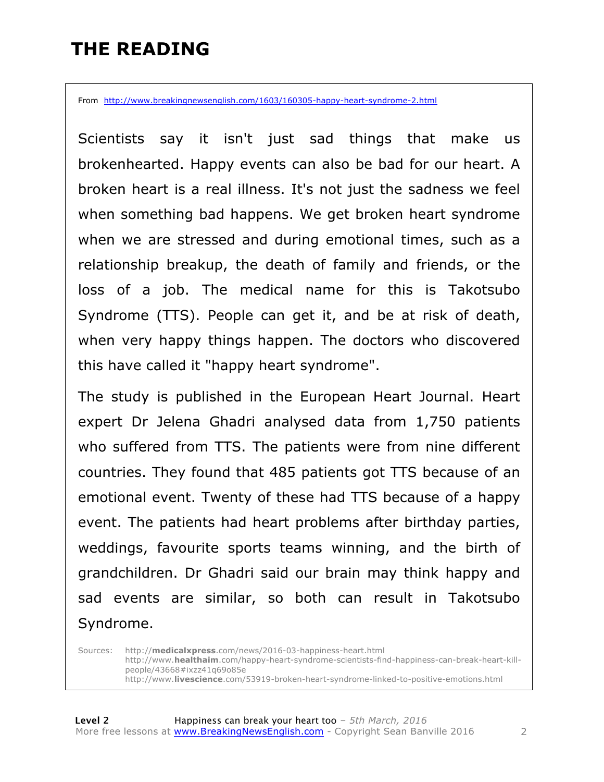### **THE READING**

From http://www.breakingnewsenglish.com/1603/160305-happy-heart-syndrome-2.html

Scientists say it isn't just sad things that make us brokenhearted. Happy events can also be bad for our heart. A broken heart is a real illness. It's not just the sadness we feel when something bad happens. We get broken heart syndrome when we are stressed and during emotional times, such as a relationship breakup, the death of family and friends, or the loss of a job. The medical name for this is Takotsubo Syndrome (TTS). People can get it, and be at risk of death, when very happy things happen. The doctors who discovered this have called it "happy heart syndrome".

The study is published in the European Heart Journal. Heart expert Dr Jelena Ghadri analysed data from 1,750 patients who suffered from TTS. The patients were from nine different countries. They found that 485 patients got TTS because of an emotional event. Twenty of these had TTS because of a happy event. The patients had heart problems after birthday parties, weddings, favourite sports teams winning, and the birth of grandchildren. Dr Ghadri said our brain may think happy and sad events are similar, so both can result in Takotsubo Syndrome.

Sources: http://**medicalxpress**.com/news/2016-03-happiness-heart.html http://www.**healthaim**.com/happy-heart-syndrome-scientists-find-happiness-can-break-heart-killpeople/43668#ixzz41q69o85e http://www.**livescience**.com/53919-broken-heart-syndrome-linked-to-positive-emotions.html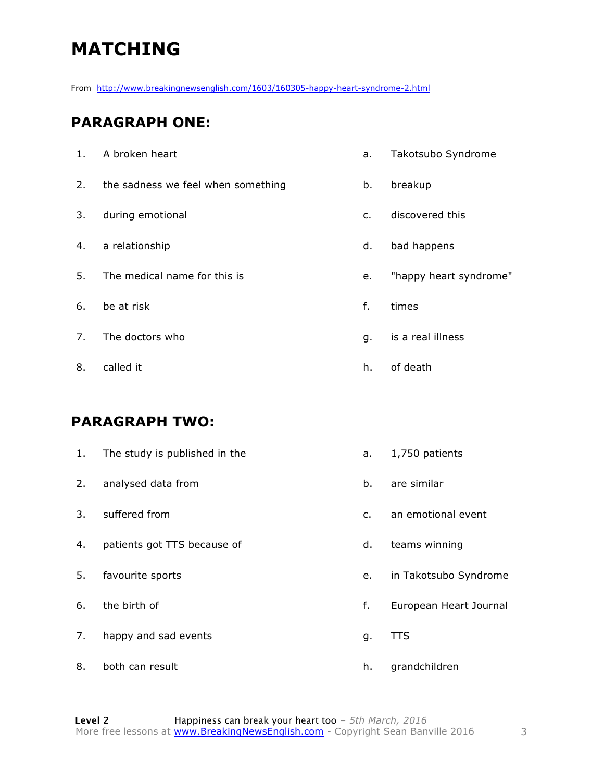# **MATCHING**

From http://www.breakingnewsenglish.com/1603/160305-happy-heart-syndrome-2.html

#### **PARAGRAPH ONE:**

| 1. | A broken heart                     | a.             | Takotsubo Syndrome     |
|----|------------------------------------|----------------|------------------------|
| 2. | the sadness we feel when something | b.             | breakup                |
| 3. | during emotional                   | $\mathsf{C}$ . | discovered this        |
| 4. | a relationship                     | d.             | bad happens            |
| 5. | The medical name for this is       | e.             | "happy heart syndrome" |
| 6. | be at risk                         | f.             | times                  |
| 7. | The doctors who                    | q.             | is a real illness      |
| 8. | called it                          | h.             | of death               |
|    |                                    |                |                        |

#### **PARAGRAPH TWO:**

| 1. | The study is published in the | a.            | 1,750 patients         |
|----|-------------------------------|---------------|------------------------|
| 2. | analysed data from            | b.            | are similar            |
| 3. | suffered from                 | $C_{\bullet}$ | an emotional event     |
| 4. | patients got TTS because of   | d.            | teams winning          |
| 5. | favourite sports              | e.            | in Takotsubo Syndrome  |
| 6. | the birth of                  | f.            | European Heart Journal |
| 7. | happy and sad events          | g.            | <b>TTS</b>             |
| 8. | both can result               | h.            | grandchildren          |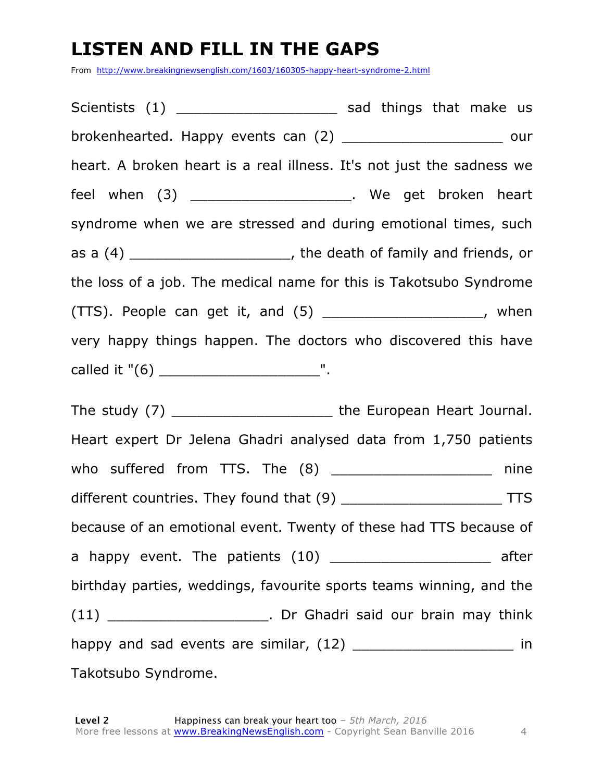## **LISTEN AND FILL IN THE GAPS**

From http://www.breakingnewsenglish.com/1603/160305-happy-heart-syndrome-2.html

Scientists (1) \_\_\_\_\_\_\_\_\_\_\_\_\_\_\_\_\_\_\_\_\_\_\_\_ sad things that make us brokenhearted. Happy events can (2) \_\_\_\_\_\_\_\_\_\_\_\_\_\_\_\_\_\_\_ our heart. A broken heart is a real illness. It's not just the sadness we feel when (3) \_\_\_\_\_\_\_\_\_\_\_\_\_\_\_\_\_\_\_\_\_\_\_\_. We get broken heart syndrome when we are stressed and during emotional times, such as a (4) \_\_\_\_\_\_\_\_\_\_\_\_\_\_\_\_\_\_\_\_\_\_, the death of family and friends, or the loss of a job. The medical name for this is Takotsubo Syndrome (TTS). People can get it, and (5) \_\_\_\_\_\_\_\_\_\_\_\_\_\_\_\_\_\_\_, when very happy things happen. The doctors who discovered this have called it "(6) \_\_\_\_\_\_\_\_\_\_\_\_\_\_\_\_\_\_\_".

The study (7) \_\_\_\_\_\_\_\_\_\_\_\_\_\_\_\_\_\_\_\_\_\_\_\_\_the European Heart Journal. Heart expert Dr Jelena Ghadri analysed data from 1,750 patients who suffered from TTS. The (8) \_\_\_\_\_\_\_\_\_\_\_\_\_\_\_\_\_\_\_ nine different countries. They found that (9) \_\_\_\_\_\_\_\_\_\_\_\_\_\_\_\_\_\_\_ TTS because of an emotional event. Twenty of these had TTS because of a happy event. The patients (10) \_\_\_\_\_\_\_\_\_\_\_\_\_\_\_\_\_\_\_\_\_\_ after birthday parties, weddings, favourite sports teams winning, and the (11) \_\_\_\_\_\_\_\_\_\_\_\_\_\_\_\_\_\_\_. Dr Ghadri said our brain may think happy and sad events are similar, (12) \_\_\_\_\_\_\_\_\_\_\_\_\_\_\_\_\_\_\_ in Takotsubo Syndrome.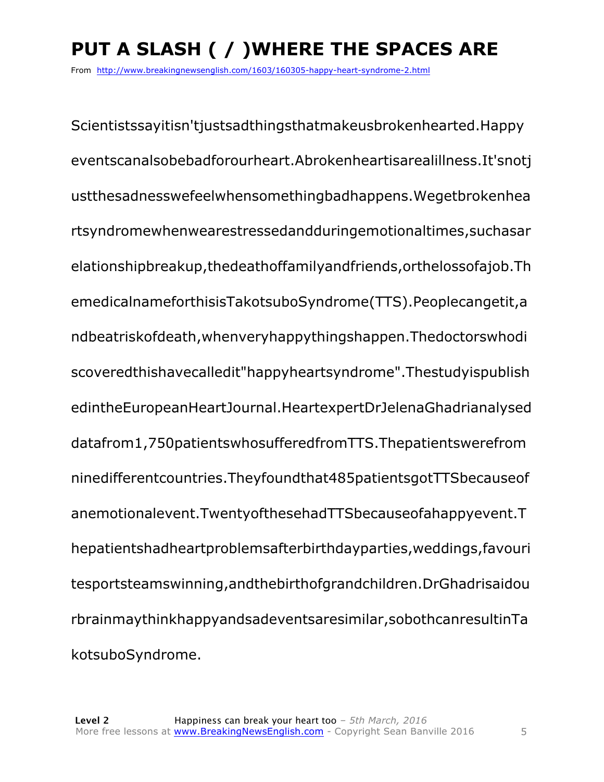# **PUT A SLASH ( / )WHERE THE SPACES ARE**

From http://www.breakingnewsenglish.com/1603/160305-happy-heart-syndrome-2.html

Scientistssayitisn'tjustsadthingsthatmakeusbrokenhearted.Happy eventscanalsobebadforourheart.Abrokenheartisarealillness.It'snotj ustthesadnesswefeelwhensomethingbadhappens.Wegetbrokenhea rtsyndromewhenwearestressedandduringemotionaltimes,suchasar elationshipbreakup,thedeathoffamilyandfriends,orthelossofajob.Th emedicalnameforthisisTakotsuboSyndrome(TTS).Peoplecangetit,a ndbeatriskofdeath,whenveryhappythingshappen.Thedoctorswhodi scoveredthishavecalledit"happyheartsyndrome".Thestudyispublish edintheEuropeanHeartJournal.HeartexpertDrJelenaGhadrianalysed datafrom1,750patientswhosufferedfromTTS.Thepatientswerefrom ninedifferentcountries.Theyfoundthat485patientsgotTTSbecauseof anemotionalevent.TwentyofthesehadTTSbecauseofahappyevent.T hepatientshadheartproblemsafterbirthdayparties,weddings,favouri tesportsteamswinning,andthebirthofgrandchildren.DrGhadrisaidou rbrainmaythinkhappyandsadeventsaresimilar,sobothcanresultinTa kotsuboSyndrome.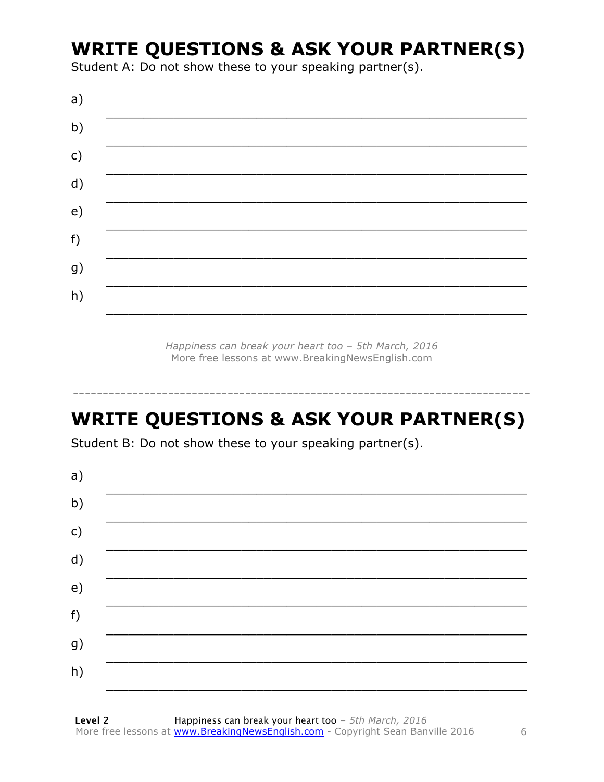### **WRITE QUESTIONS & ASK YOUR PARTNER(S)**

Student A: Do not show these to your speaking partner(s).

| a) |  |  |
|----|--|--|
| b) |  |  |
| c) |  |  |
| d) |  |  |
| e) |  |  |
| f) |  |  |
| g) |  |  |
| h) |  |  |
|    |  |  |

Happiness can break your heart too - 5th March, 2016 More free lessons at www.BreakingNewsEnglish.com

# **WRITE QUESTIONS & ASK YOUR PARTNER(S)**

Student B: Do not show these to your speaking partner(s).